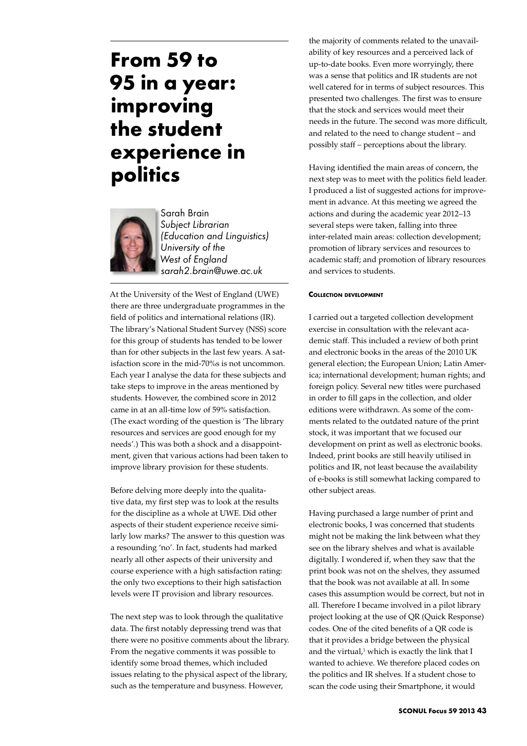# **From 59 to 95 in a year: improving the student experience in politics**



Sarah Brain *Subject Librarian (Education and Linguistics) University of the West of England sarah2.brain@uwe.ac.uk*

At the University of the West of England (UWE) there are three undergraduate programmes in the field of politics and international relations (IR). The library's National Student Survey (NSS) score for this group of students has tended to be lower than for other subjects in the last few years. A satisfaction score in the mid-70%s is not uncommon. Each year I analyse the data for these subjects and take steps to improve in the areas mentioned by students. However, the combined score in 2012 came in at an all-time low of 59% satisfaction. (The exact wording of the question is 'The library resources and services are good enough for my needs'.) This was both a shock and a disappointment, given that various actions had been taken to improve library provision for these students.

Before delving more deeply into the qualitative data, my first step was to look at the results for the discipline as a whole at UWE. Did other aspects of their student experience receive similarly low marks? The answer to this question was a resounding 'no'. In fact, students had marked nearly all other aspects of their university and course experience with a high satisfaction rating: the only two exceptions to their high satisfaction levels were IT provision and library resources.

The next step was to look through the qualitative data. The first notably depressing trend was that there were no positive comments about the library. From the negative comments it was possible to identify some broad themes, which included issues relating to the physical aspect of the library, such as the temperature and busyness. However,

the majority of comments related to the unavailability of key resources and a perceived lack of up-to-date books. Even more worryingly, there was a sense that politics and IR students are not well catered for in terms of subject resources. This presented two challenges. The first was to ensure that the stock and services would meet their needs in the future. The second was more difficult, and related to the need to change student – and possibly staff – perceptions about the library.

Having identified the main areas of concern, the next step was to meet with the politics field leader. I produced a list of suggested actions for improvement in advance. At this meeting we agreed the actions and during the academic year 2012–13 several steps were taken, falling into three inter-related main areas: collection development; promotion of library services and resources to academic staff; and promotion of library resources and services to students.

### **Collection development**

I carried out a targeted collection development exercise in consultation with the relevant academic staff. This included a review of both print and electronic books in the areas of the 2010 UK general election; the European Union; Latin America; international development; human rights; and foreign policy. Several new titles were purchased in order to fill gaps in the collection, and older editions were withdrawn. As some of the comments related to the outdated nature of the print stock, it was important that we focused our development on print as well as electronic books. Indeed, print books are still heavily utilised in politics and IR, not least because the availability of e-books is still somewhat lacking compared to other subject areas.

Having purchased a large number of print and electronic books, I was concerned that students might not be making the link between what they see on the library shelves and what is available digitally. I wondered if, when they saw that the print book was not on the shelves, they assumed that the book was not available at all. In some cases this assumption would be correct, but not in all. Therefore I became involved in a pilot library project looking at the use of QR (Quick Response) codes. One of the cited benefits of a QR code is that it provides a bridge between the physical and the virtual, $1$  which is exactly the link that I wanted to achieve. We therefore placed codes on the politics and IR shelves. If a student chose to scan the code using their Smartphone, it would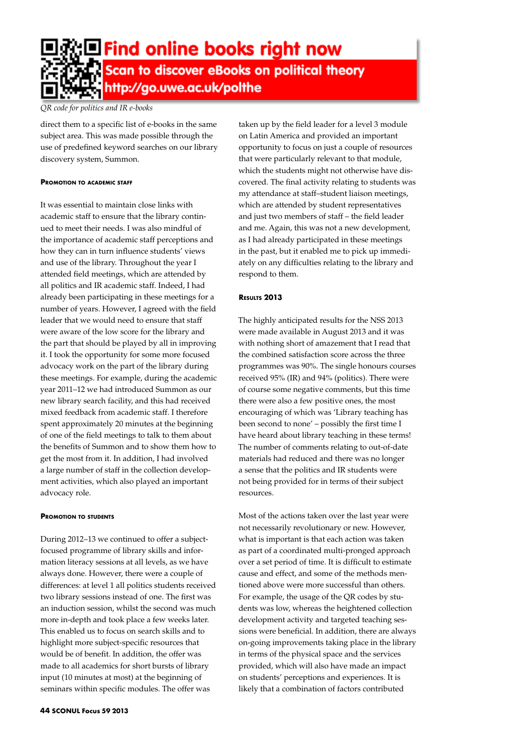

## *QR code for politics and IR e-books*

direct them to a specific list of e-books in the same subject area. This was made possible through the use of predefined keyword searches on our library discovery system, Summon.

#### **Promotion to academic staff**

It was essential to maintain close links with academic staff to ensure that the library continued to meet their needs. I was also mindful of the importance of academic staff perceptions and how they can in turn influence students' views and use of the library. Throughout the year I attended field meetings, which are attended by all politics and IR academic staff. Indeed, I had already been participating in these meetings for a number of years. However, I agreed with the field leader that we would need to ensure that staff were aware of the low score for the library and the part that should be played by all in improving it. I took the opportunity for some more focused advocacy work on the part of the library during these meetings. For example, during the academic year 2011–12 we had introduced Summon as our new library search facility, and this had received mixed feedback from academic staff. I therefore spent approximately 20 minutes at the beginning of one of the field meetings to talk to them about the benefits of Summon and to show them how to get the most from it. In addition, I had involved a large number of staff in the collection development activities, which also played an important advocacy role.

#### **Promotion to students**

During 2012–13 we continued to offer a subjectfocused programme of library skills and information literacy sessions at all levels, as we have always done. However, there were a couple of differences: at level 1 all politics students received two library sessions instead of one. The first was an induction session, whilst the second was much more in-depth and took place a few weeks later. This enabled us to focus on search skills and to highlight more subject-specific resources that would be of benefit. In addition, the offer was made to all academics for short bursts of library input (10 minutes at most) at the beginning of seminars within specific modules. The offer was

taken up by the field leader for a level 3 module on Latin America and provided an important opportunity to focus on just a couple of resources that were particularly relevant to that module, which the students might not otherwise have discovered. The final activity relating to students was my attendance at staff–student liaison meetings, which are attended by student representatives and just two members of staff – the field leader and me. Again, this was not a new development, as I had already participated in these meetings in the past, but it enabled me to pick up immediately on any difficulties relating to the library and respond to them.

## **Results 2013**

The highly anticipated results for the NSS 2013 were made available in August 2013 and it was with nothing short of amazement that I read that the combined satisfaction score across the three programmes was 90%. The single honours courses received 95% (IR) and 94% (politics). There were of course some negative comments, but this time there were also a few positive ones, the most encouraging of which was 'Library teaching has been second to none' – possibly the first time I have heard about library teaching in these terms! The number of comments relating to out-of-date materials had reduced and there was no longer a sense that the politics and IR students were not being provided for in terms of their subject resources.

Most of the actions taken over the last year were not necessarily revolutionary or new. However, what is important is that each action was taken as part of a coordinated multi-pronged approach over a set period of time. It is difficult to estimate cause and effect, and some of the methods mentioned above were more successful than others. For example, the usage of the QR codes by students was low, whereas the heightened collection development activity and targeted teaching sessions were beneficial. In addition, there are always on-going improvements taking place in the library in terms of the physical space and the services provided, which will also have made an impact on students' perceptions and experiences. It is likely that a combination of factors contributed